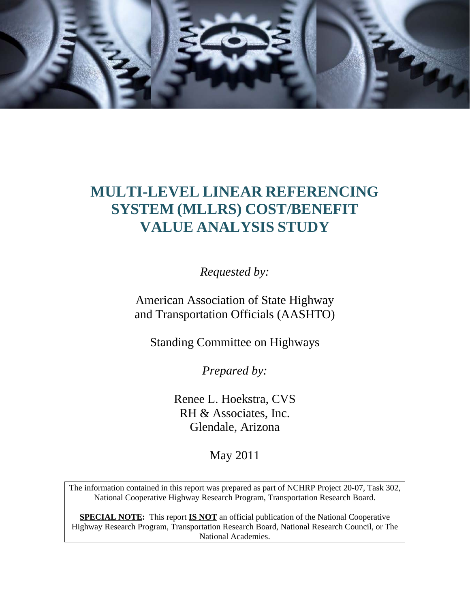

# **MULTI-LEVEL LINEAR REFERENCING SYSTEM (MLLRS) COST/BENEFIT VALUE ANALYSIS STUDY**

*Requested by:* 

American Association of State Highway and Transportation Officials (AASHTO)

Standing Committee on Highways

*Prepared by:* 

Renee L. Hoekstra, CVS RH & Associates, Inc. Glendale, Arizona

May 2011

The information contained in this report was prepared as part of NCHRP Project 20-07, Task 302, National Cooperative Highway Research Program, Transportation Research Board.

**SPECIAL NOTE:** This report **IS NOT** an official publication of the National Cooperative Highway Research Program, Transportation Research Board, National Research Council, or The National Academies.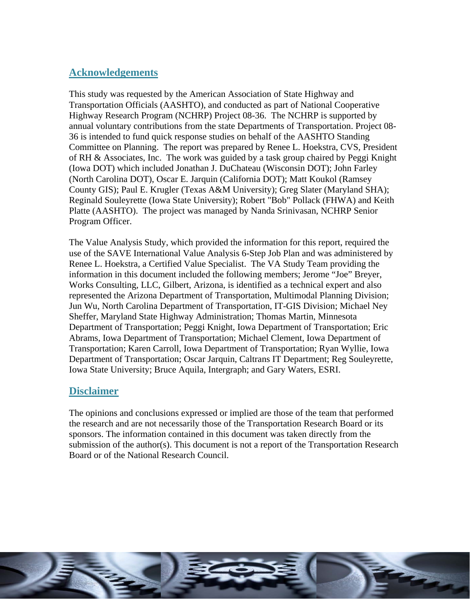### **Acknowledgements**

This study was requested by the American Association of State Highway and Transportation Officials (AASHTO), and conducted as part of National Cooperative Highway Research Program (NCHRP) Project 08-36. The NCHRP is supported by annual voluntary contributions from the state Departments of Transportation. Project 08- 36 is intended to fund quick response studies on behalf of the AASHTO Standing Committee on Planning. The report was prepared by Renee L. Hoekstra, CVS, President of RH & Associates, Inc. The work was guided by a task group chaired by Peggi Knight (Iowa DOT) which included Jonathan J. DuChateau (Wisconsin DOT); John Farley (North Carolina DOT), Oscar E. Jarquin (California DOT); Matt Koukol (Ramsey County GIS); Paul E. Krugler (Texas A&M University); Greg Slater (Maryland SHA); Reginald Souleyrette (Iowa State University); Robert "Bob" Pollack (FHWA) and Keith Platte (AASHTO). The project was managed by Nanda Srinivasan, NCHRP Senior Program Officer.

The Value Analysis Study, which provided the information for this report, required the use of the SAVE International Value Analysis 6-Step Job Plan and was administered by Renee L. Hoekstra, a Certified Value Specialist. The VA Study Team providing the information in this document included the following members; Jerome "Joe" Breyer, Works Consulting, LLC, Gilbert, Arizona, is identified as a technical expert and also represented the Arizona Department of Transportation, Multimodal Planning Division; Jun Wu, North Carolina Department of Transportation, IT-GIS Division; Michael Ney Sheffer, Maryland State Highway Administration; Thomas Martin, Minnesota Department of Transportation; Peggi Knight, Iowa Department of Transportation; Eric Abrams, Iowa Department of Transportation; Michael Clement, Iowa Department of Transportation; Karen Carroll, Iowa Department of Transportation; Ryan Wyllie, Iowa Department of Transportation; Oscar Jarquin, Caltrans IT Department; Reg Souleyrette, Iowa State University; Bruce Aquila, Intergraph; and Gary Waters, ESRI.

### **Disclaimer**

The opinions and conclusions expressed or implied are those of the team that performed the research and are not necessarily those of the Transportation Research Board or its sponsors. The information contained in this document was taken directly from the submission of the author(s). This document is not a report of the Transportation Research Board or of the National Research Council.

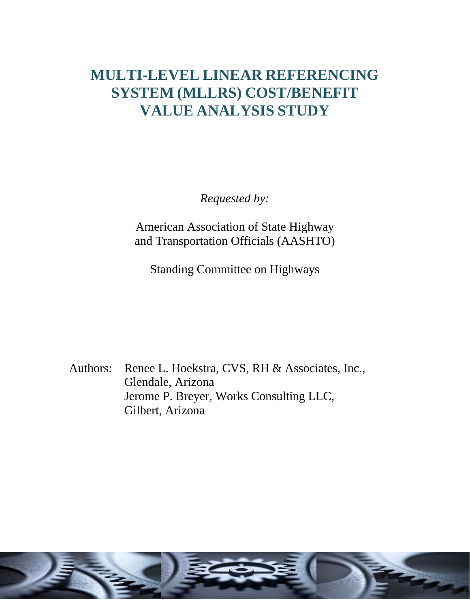# **MULTI-LEVEL LINEAR REFERENCING SYSTEM (MLLRS) COST/BENEFIT VALUE ANALYSIS STUDY**

*Requested by:* 

American Association of State Highway and Transportation Officials (AASHTO)

Standing Committee on Highways

Authors: Renee L. Hoekstra, CVS, RH & Associates, Inc., Glendale, Arizona Jerome P. Breyer, Works Consulting LLC, Gilbert, Arizona

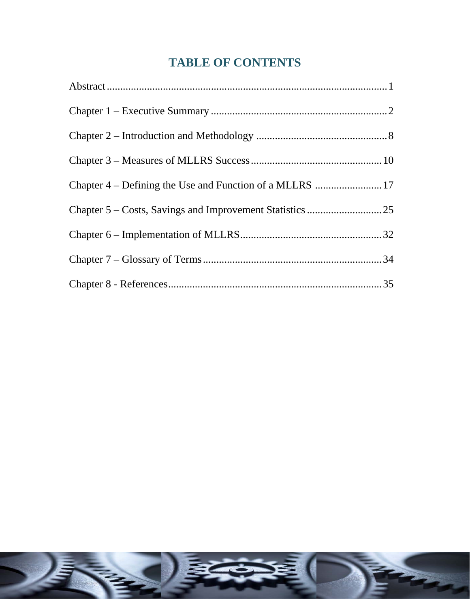# **TABLE OF CONTENTS**

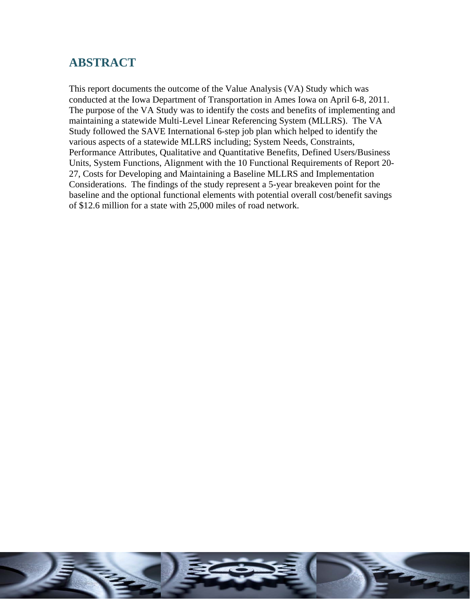# **ABSTRACT**

This report documents the outcome of the Value Analysis (VA) Study which was conducted at the Iowa Department of Transportation in Ames Iowa on April 6-8, 2011. The purpose of the VA Study was to identify the costs and benefits of implementing and maintaining a statewide Multi-Level Linear Referencing System (MLLRS). The VA Study followed the SAVE International 6-step job plan which helped to identify the various aspects of a statewide MLLRS including; System Needs, Constraints, Performance Attributes, Qualitative and Quantitative Benefits, Defined Users/Business Units, System Functions, Alignment with the 10 Functional Requirements of Report 20- 27, Costs for Developing and Maintaining a Baseline MLLRS and Implementation Considerations. The findings of the study represent a 5-year breakeven point for the baseline and the optional functional elements with potential overall cost/benefit savings of \$12.6 million for a state with 25,000 miles of road network.

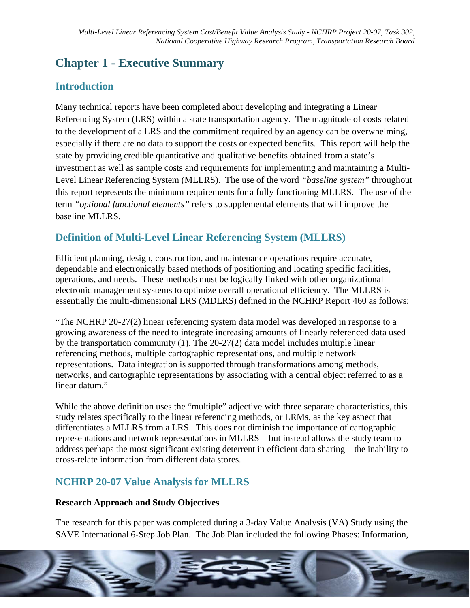# **Chapter 1 - Executive Summary**

# **Introduction**

Many technical reports have been completed about developing and integrating a Linear Referencing System (LRS) within a state transportation agency. The magnitude of costs related to the development of a LRS and the commitment required by an agency can be overwhelming. especially if there are no data to support the costs or expected benefits. This report will help the state by providing credible quantitative and qualitative benefits obtained from a state's investment as well as sample costs and requirements for implementing and maintaining a Multi-Level Linear Referencing System (MLLRS). The use of the word "baseline system" throughout this report represents the minimum requirements for a fully functioning MLLRS. The use of the term "optional functional elements" refers to supplemental elements that will improve the baseline MLLRS.

# **Definition of Multi-Level Linear Referencing System (MLLRS)**

Efficient planning, design, construction, and maintenance operations require accurate, dependable and electronically based methods of positioning and locating specific facilities, operations, and needs. These methods must be logically linked with other organizational electronic management systems to optimize overall operational efficiency. The MLLRS is essentially the multi-dimensional LRS (MDLRS) defined in the NCHRP Report 460 as follows:

"The NCHRP 20-27(2) linear referencing system data model was developed in response to a growing awareness of the need to integrate increasing amounts of linearly referenced data used by the transportation community (1). The  $20-27(2)$  data model includes multiple linear referencing methods, multiple cartographic representations, and multiple network representations. Data integration is supported through transformations among methods, networks, and cartographic representations by associating with a central object referred to as a linear datum."

While the above definition uses the "multiple" adjective with three separate characteristics, this study relates specifically to the linear referencing methods, or LRMs, as the key aspect that differentiates a MLLRS from a LRS. This does not diminish the importance of cartographic representations and network representations in MLLRS – but instead allows the study team to address perhaps the most significant existing deterrent in efficient data sharing – the inability to cross-relate information from different data stores.

# **NCHRP 20-07 Value Analysis for MLLRS**

#### **Research Approach and Study Objectives**

The research for this paper was completed during a 3-day Value Analysis (VA) Study using the SAVE International 6-Step Job Plan. The Job Plan included the following Phases: Information,

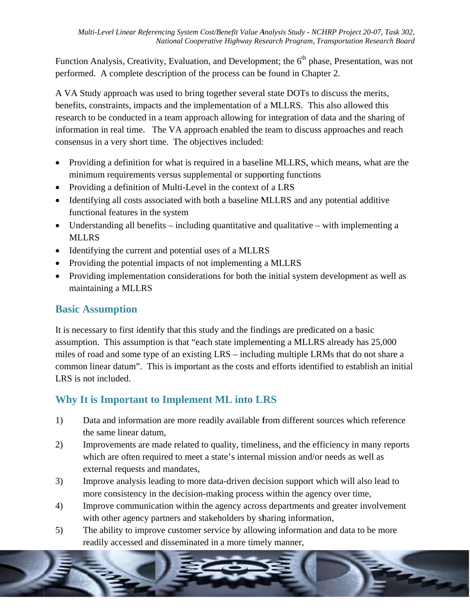Function Analysis, Creativity, Evaluation, and Development; the 6<sup>th</sup> phase, Presentation, was not performed. A complete description of the process can be found in Chapter 2.

A VA Study approach was used to bring together several state DOTs to discuss the merits, benefits, constraints, impacts and the implementation of a MLLRS. This also allowed this research to be conducted in a team approach allowing for integration of data and the sharing of information in real time. The VA approach enabled the team to discuss approaches and reach consensus in a very short time. The objectives included:

- Providing a definition for what is required in a baseline MLLRS, which means, what are the minimum requirements versus supplemental or supporting functions
- Providing a definition of Multi-Level in the context of a LRS
- Identifying all costs associated with both a baseline MLLRS and any potential additive functional features in the system
- Understanding all benefits including quantitative and qualitative with implementing a **MLLRS**
- Identifying the current and potential uses of a MLLRS
- Providing the potential impacts of not implementing a MLLRS
- Providing implementation considerations for both the initial system development as well as maintaining a MLLRS

# **Basic Assumption**

It is necessary to first identify that this study and the findings are predicated on a basic assumption. This assumption is that "each state implementing a MLLRS already has 25,000 miles of road and some type of an existing LRS – including multiple LRMs that do not share a common linear datum". This is important as the costs and efforts identified to establish an initial LRS is not included.

# Why It is Important to Implement ML into LRS

- 1) Data and information are more readily available from different sources which reference the same linear datum,
- Improvements are made related to quality, timeliness, and the efficiency in many reports  $(2)$ which are often required to meet a state's internal mission and/or needs as well as external requests and mandates,
- $3)$ Improve analysis leading to more data-driven decision support which will also lead to more consistency in the decision-making process within the agency over time,
- 4) Improve communication within the agency across departments and greater involvement with other agency partners and stakeholders by sharing information,
- $5)$ The ability to improve customer service by allowing information and data to be more readily accessed and disseminated in a more timely manner,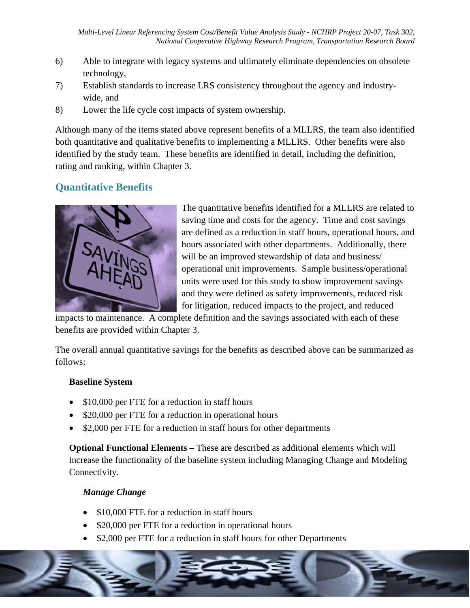- Able to integrate with legacy systems and ultimately eliminate dependencies on obsolete  $6)$ technology,
- Establish standards to increase LRS consistency throughout the agency and industry-7) wide, and
- 8) Lower the life cycle cost impacts of system ownership.

Although many of the items stated above represent benefits of a MLLRS, the team also identified both quantitative and qualitative benefits to implementing a MLLRS. Other benefits were also identified by the study team. These benefits are identified in detail, including the definition, rating and ranking, within Chapter 3.

### **Quantitative Benefits**



The quantitative benefits identified for a MLLRS are related to saving time and costs for the agency. Time and cost savings are defined as a reduction in staff hours, operational hours, and hours associated with other departments. Additionally, there will be an improved stewardship of data and business/ operational unit improvements. Sample business/operational units were used for this study to show improvement savings and they were defined as safety improvements, reduced risk for litigation, reduced impacts to the project, and reduced

impacts to maintenance. A complete definition and the savings associated with each of these benefits are provided within Chapter 3.

The overall annual quantitative savings for the benefits as described above can be summarized as follows:

#### **Baseline System**

- \$10,000 per FTE for a reduction in staff hours
- \$20,000 per FTE for a reduction in operational hours
- \$2,000 per FTE for a reduction in staff hours for other departments

**Optional Functional Elements – These are described as additional elements which will** increase the functionality of the baseline system including Managing Change and Modeling Connectivity.

#### **Manage Change**

- \$10,000 FTE for a reduction in staff hours
- \$20,000 per FTE for a reduction in operational hours
- \$2,000 per FTE for a reduction in staff hours for other Departments

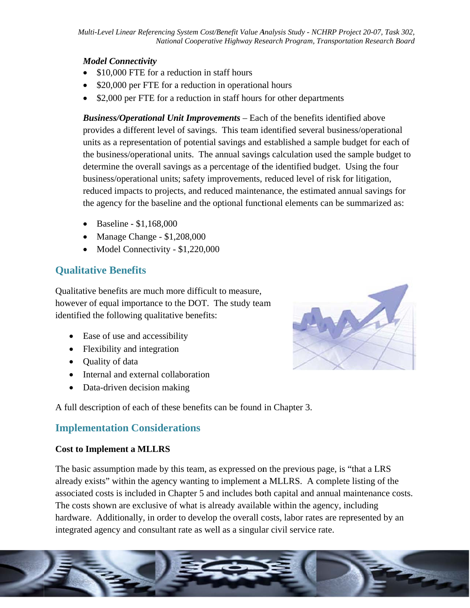#### **Model Connectivity**

- \$10,000 FTE for a reduction in staff hours
- \$20,000 per FTE for a reduction in operational hours
- $\bullet$  \$2,000 per FTE for a reduction in staff hours for other departments

**Business/Operational Unit Improvements** – Each of the benefits identified above provides a different level of savings. This team identified several business/operational units as a representation of potential savings and established a sample budget for each of the business/operational units. The annual savings calculation used the sample budget to determine the overall savings as a percentage of the identified budget. Using the four business/operational units; safety improvements, reduced level of risk for litigation, reduced impacts to projects, and reduced maintenance, the estimated annual savings for the agency for the baseline and the optional functional elements can be summarized as:

- Baseline  $$1,168,000$
- Manage Change  $$1,208,000$
- Model Connectivity  $$1,220,000$

# **Qualitative Benefits**

Qualitative benefits are much more difficult to measure, however of equal importance to the DOT. The study team identified the following qualitative benefits:

- Ease of use and accessibility
- Flexibility and integration
- Quality of data
- Internal and external collaboration
- Data-driven decision making

A full description of each of these benefits can be found in Chapter 3.

### **Implementation Considerations**

#### **Cost to Implement a MLLRS**

The basic assumption made by this team, as expressed on the previous page, is "that a LRS" already exists" within the agency wanting to implement a MLLRS. A complete listing of the associated costs is included in Chapter 5 and includes both capital and annual maintenance costs. The costs shown are exclusive of what is already available within the agency, including hardware. Additionally, in order to develop the overall costs, labor rates are represented by an integrated agency and consultant rate as well as a singular civil service rate.



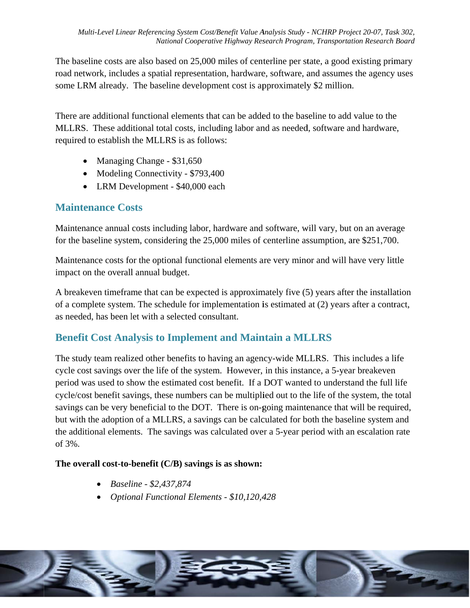The baseline costs are also based on 25,000 miles of centerline per state, a good existing primary road network, includes a spatial representation, hardware, software, and assumes the agency uses some LRM already. The baseline development cost is approximately \$2 million.

There are additional functional elements that can be added to the baseline to add value to the MLLRS. These additional total costs, including labor and as needed, software and hardware, required to establish the MLLRS is as follows:

- Managing Change  $$31,650$
- Modeling Connectivity \$793,400
- LRM Development \$40,000 each

### **Maintenance Costs**

Maintenance annual costs including labor, hardware and software, will vary, but on an average for the baseline system, considering the 25,000 miles of centerline assumption, are \$251,700.

Maintenance costs for the optional functional elements are very minor and will have very little impact on the overall annual budget.

A breakeven time frame that can be expected is approximately five (5) years after the installation of a complete system. The schedule for implementation is estimated at  $(2)$  years after a contract, as needed, has been let with a selected consultant.

### **Benefit Cost Analysis to Implement and Maintain a MLLRS**

The study team realized other benefits to having an agency-wide MLLRS. This includes a life cycle cost savings over the life of the system. However, in this instance, a 5-year breakeven period was used to show the estimated cost benefit. If a DOT wanted to understand the full life cycle/cost benefit savings, these numbers can be multiplied out to the life of the system, the total savings can be very beneficial to the DOT. There is on-going maintenance that will be required, but with the adoption of a MLLRS, a savings can be calculated for both the baseline system and the additional elements. The savings was calculated over a 5-year period with an escalation rate of 3%.

#### The overall cost-to-benefit  $(C/B)$  savings is as shown:

- Baseline \$2,437,874
- Optional Functional Elements \$10,120,428

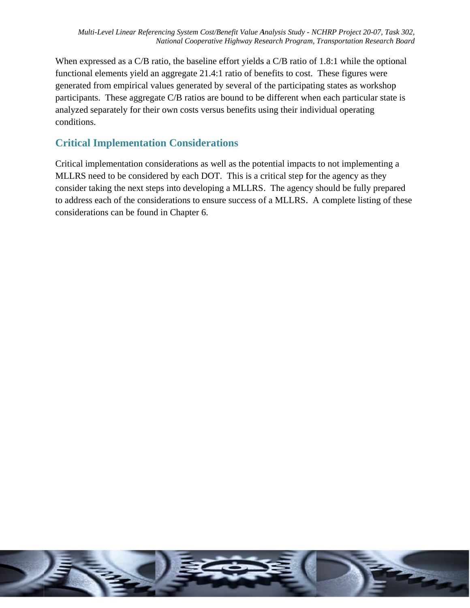When expressed as a C/B ratio, the baseline effort yields a C/B ratio of 1.8:1 while the optional functional elements yield an aggregate 21.4:1 ratio of benefits to cost. These figures were generated from empirical values generated by several of the participating states as workshop generated from empirical values generated by several of the participating states as workshop<br>participants. These aggregate C/B ratios are bound to be different when each particular state is analyzed separately for their own costs versus benefits using their individual operating conditions.

# **Critical Implementation Considerations**

Critical implementation considerations as well as the potential impacts to not implementing a MLLRS need to be considered by each DOT. This is a critical step for the agency as they consider taking the next steps into developing a MLLRS. The agency should be fully prepared to address each of the considerations to ensure success of a MLLRS. A complete listing of these considerations can be found in Chapter 6.

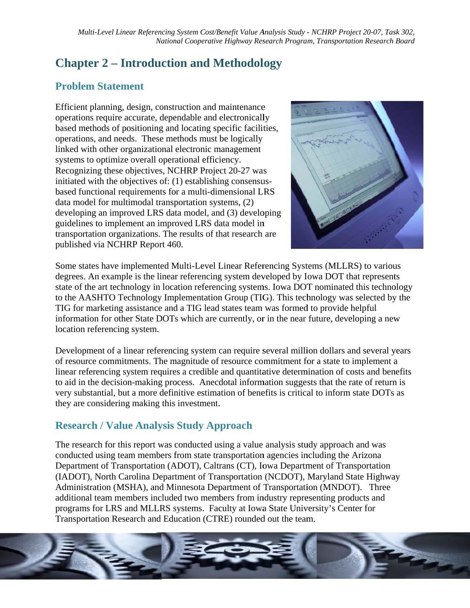# **Chapter 2 – Introduction and Methodology**

# **Problem Statement**

Efficient planning, design, construction and maintenance operations require accurate, dependable and electronically based methods of positioning and locating specific facilities, operations, and needs. These methods must be logically linked with other organizational electronic management systems to optimize overall operational efficiency. Recognizing these objectives, NCHRP Project 20-27 was initiated with the objectives of: (1) establishing consensusbased functional requirements for a multi-dimensional LRS data model for multimodal transportation systems, (2) developing an improved LRS data model, and (3) developing guidelines to implement an improved LRS data model in transportation organizations. The results of that research are published via NCHRP Report 460.



Some states have implemented Multi-Level Linear Referencing Systems (MLLRS) to various degrees. An example is the linear referencing system developed by Iowa DOT that represents state of the art technology in location referencing systems. Iowa DOT nominated this technology to the AASHTO Technology Implementation Group (TIG). This technology was selected by the TIG for marketing assistance and a TIG lead states team was formed to provide helpful information for other State DOTs which are currently, or in the near future, developing a new location referencing system.

Development of a linear referencing system can require several million dollars and several years of resource commitments. The magnitude of resource commitment for a state to implement a linear referencing system requires a credible and quantitative determination of costs and benefits to aid in the decision-making process. Anecdotal information suggests that the rate of return is very substantial, but a more definitive estimation of benefits is critical to inform state DOTs as they are considering making this investment.

# **Research / Value Analysis Study Approach**

The research for this report was conducted using a value analysis study approach and was conducted using team members from state transportation agencies including the Arizona Department of Transportation (ADOT), Caltrans (CT), Iowa Department of Transportation (IADOT), North Carolina Department of Transportation (NCDOT), Maryland State Highway Administration (MSHA), and Minnesota Department of Transportation (MNDOT). Three additional team members included two members from industry representing products and programs for LRS and MLLRS systems. Faculty at Iowa State University's Center for Transportation Research and Education (CTRE) rounded out the team.

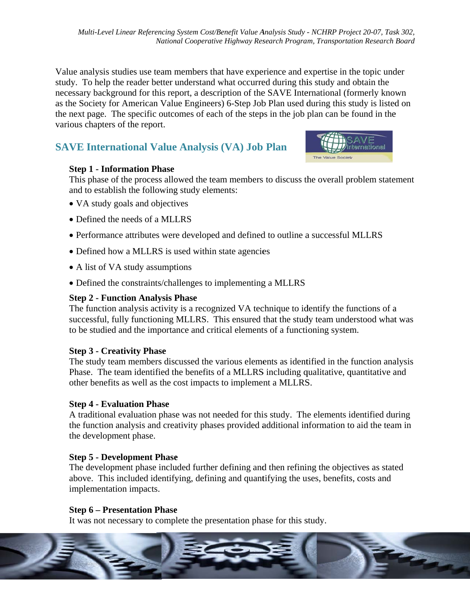Value analysis studies use team members that have experience and expertise in the topic under study. To help the reader better understand what occurred during this study and obtain the necessary background for this report, a description of the SAVE International (formerly known as the Society for American Value Engineers) 6-Step Job Plan used during this study is listed on the next page. The specific outcomes of each of the steps in the job plan can be found in the various chapters of the report.

# **SAVE International Value Analysis (VA) Job Plan**



#### **Step 1 - Information Phase**

This phase of the process allowed the team members to discuss the overall problem statement and to establish the following study elements:

- VA study goals and objectives
- Defined the needs of a MLLRS
- Performance attributes were developed and defined to outline a successful MLLRS
- Defined how a MLLRS is used within state agencies
- A list of VA study assumptions
- Defined the constraints/challenges to implementing a MLLRS

#### **Step 2 - Function Analysis Phase**

The function analysis activity is a recognized VA technique to identify the functions of a successful, fully functioning MLLRS. This ensured that the study team understood what was to be studied and the importance and critical elements of a functioning system.

#### **Step 3 - Creativity Phase**

The study team members discussed the various elements as identified in the function analysis Phase. The team identified the benefits of a MLLRS including qualitative, quantitative and other benefits as well as the cost impacts to implement a MLLRS.

#### **Step 4 - Evaluation Phase**

A traditional evaluation phase was not needed for this study. The elements identified during the function analysis and creativity phases provided additional information to aid the team in the development phase.

#### **Step 5 - Development Phase**

The development phase included further defining and then refining the objectives as stated above. This included identifying, defining and quantifying the uses, benefits, costs and implementation impacts.

#### **Step 6 – Presentation Phase**

It was not necessary to complete the presentation phase for this study.

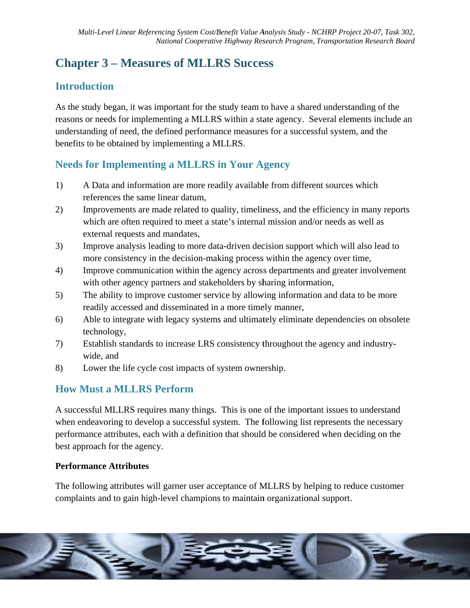# **Chapter 3 – Measures of MLLRS Success**

# **Introduction**

As the study began, it was important for the study team to have a shared understanding of the reasons or needs for implementing a MLLRS within a state agency. Several elements include an understanding of need, the defined performance measures for a successful system, and the benefits to be obtained by implementing a MLLRS.

# **Needs for Implementing a MLLRS in Your Agency**

- $1)$ A Data and information are more readily available from different sources which references the same linear datum.
- $(2)$ Improvements are made related to quality, timeliness, and the efficiency in many reports which are often required to meet a state's internal mission and/or needs as well as external requests and mandates,
- Improve analysis leading to more data-driven decision support which will also lead to  $3)$ more consistency in the decision-making process within the agency over time,
- $4)$ Improve communication within the agency across departments and greater involvement with other agency partners and stakeholders by sharing information,
- The ability to improve customer service by allowing information and data to be more  $5)$ readily accessed and disseminated in a more timely manner,
- $6)$ Able to integrate with legacy systems and ultimately eliminate dependencies on obsolete technology,
- 7) Establish standards to increase LRS consistency throughout the agency and industrywide, and
- Lower the life cycle cost impacts of system ownership. 8)

# **How Must a MLLRS Perform**

A successful MLLRS requires many things. This is one of the important issues to understand when endeavoring to develop a successful system. The following list represents the necessary performance attributes, each with a definition that should be considered when deciding on the best approach for the agency.

#### **Performance Attributes**

The following attributes will garner user acceptance of MLLRS by helping to reduce customer complaints and to gain high-level champions to maintain organizational support.

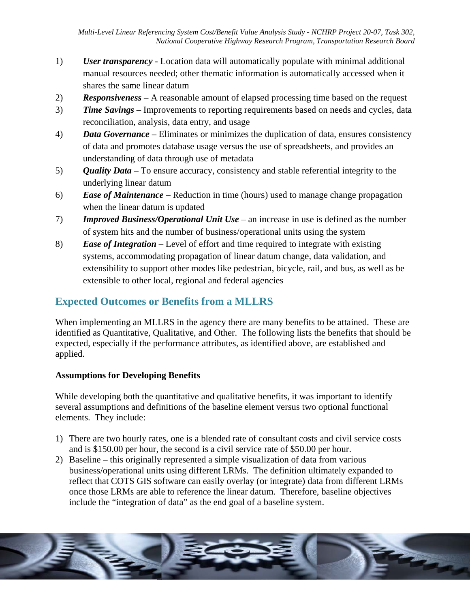- $1)$ User transparency - Location data will automatically populate with minimal additional manual resources needed; other thematic information is automatically accessed when it shares the same linear datum
- **Responsiveness** A reasonable amount of elapsed processing time based on the request  $(2)$
- $3)$ **Time Savings** – Improvements to reporting requirements based on needs and cycles, data reconciliation, analysis, data entry, and usage
- **Data Governance** Eliminates or minimizes the duplication of data, ensures consistency 4) of data and promotes database usage versus the use of spreadsheets, and provides an understanding of data through use of metadata
- **Quality Data** To ensure accuracy, consistency and stable referential integrity to the  $5)$ underlying linear datum
- **Ease of Maintenance** Reduction in time (hours) used to manage change propagation  $6)$ when the linear datum is updated
- $7)$ **Improved Business/Operational Unit Use** – an increase in use is defined as the number of system hits and the number of business/operational units using the system
- 8) **Ease of Integration** – Level of effort and time required to integrate with existing systems, accommodating propagation of linear datum change, data validation, and extensibility to support other modes like pedestrian, bicycle, rail, and bus, as well as be extensible to other local, regional and federal agencies

# **Expected Outcomes or Benefits from a MLLRS**

When implementing an MLLRS in the agency there are many benefits to be attained. These are identified as Quantitative, Qualitative, and Other. The following lists the benefits that should be expected, especially if the performance attributes, as identified above, are established and applied.

#### **Assumptions for Developing Benefits**

While developing both the quantitative and qualitative benefits, it was important to identify several assumptions and definitions of the baseline element versus two optional functional elements. They include:

- 1) There are two hourly rates, one is a blended rate of consultant costs and civil service costs and is \$150.00 per hour, the second is a civil service rate of \$50.00 per hour.
- 2) Baseline this originally represented a simple visualization of data from various business/operational units using different LRMs. The definition ultimately expanded to reflect that COTS GIS software can easily overlay (or integrate) data from different LRMs once those LRMs are able to reference the linear datum. Therefore, baseline objectives include the "integration of data" as the end goal of a baseline system.

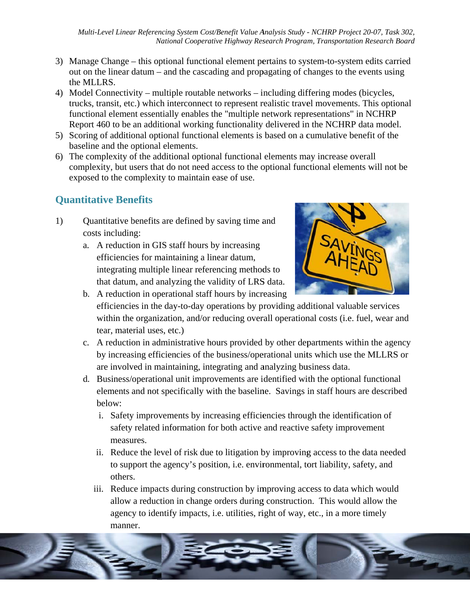- 3) Manage Change this optional functional element pertains to system-to-system edits carried out on the linear datum – and the cascading and propagating of changes to the events using the MLLRS.
- 4) Model Connectivity multiple routable networks including differing modes (bicycles, trucks, transit, etc.) which interconnect to represent realistic travel movements. This optional functional element essentially enables the "multiple network representations" in NCHRP Report 460 to be an additional working functionality delivered in the NCHRP data model.
- 5) Scoring of additional optional functional elements is based on a cumulative benefit of the baseline and the optional elements.
- 6) The complexity of the additional optional functional elements may increase overall complexity, but users that do not need access to the optional functional elements will not be exposed to the complexity to maintain ease of use.

# **Ouantitative Benefits**

- $1)$ Quantitative benefits are defined by saving time and costs including:
	- a. A reduction in GIS staff hours by increasing efficiencies for maintaining a linear datum, integrating multiple linear referencing methods to that datum, and analyzing the validity of LRS data.



- b. A reduction in operational staff hours by increasing efficiencies in the day-to-day operations by providing additional valuable services within the organization, and/or reducing overall operational costs (i.e. fuel, wear and tear, material uses, etc.)
- c. A reduction in administrative hours provided by other departments within the agency by increasing efficiencies of the business/operational units which use the MLLRS or are involved in maintaining, integrating and analyzing business data.
- d. Business/operational unit improvements are identified with the optional functional elements and not specifically with the baseline. Savings in staff hours are described below:
	- i. Safety improvements by increasing efficiencies through the identification of safety related information for both active and reactive safety improvement measures.
	- ii. Reduce the level of risk due to litigation by improving access to the data needed to support the agency's position, i.e. environmental, tort liability, safety, and others.
	- iii. Reduce impacts during construction by improving access to data which would allow a reduction in change orders during construction. This would allow the agency to identify impacts, i.e. utilities, right of way, etc., in a more timely manner.

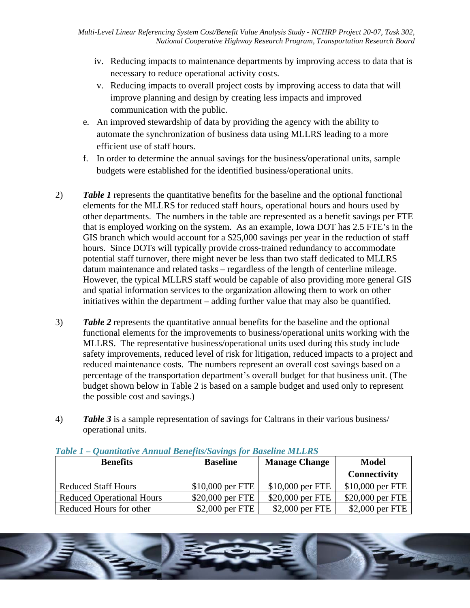- iv. Reducing impacts to maintenance departments by improving access to data that is necessary to reduce operational activity costs.
- v. Reducing impacts to overall project costs by improving access to data that will improve planning and design by creating less impacts and improved communication with the public.
- e. An improved stewardship of data by providing the agency with the ability to automate the synchronization of business data using MLLRS leading to a more efficient use of staff hours.
- f. In order to determine the annual savings for the business/operational units, sample budgets were established for the identified business/operational units.
- $(2)$ **Table 1** represents the quantitative benefits for the baseline and the optional functional elements for the MLLRS for reduced staff hours, operational hours and hours used by other departments. The numbers in the table are represented as a benefit savings per FTE that is employed working on the system. As an example, Iowa DOT has 2.5 FTE's in the GIS branch which would account for a \$25,000 savings per year in the reduction of staff hours. Since DOTs will typically provide cross-trained redundancy to accommodate potential staff turnover, there might never be less than two staff dedicated to MLLRS datum maintenance and related tasks – regardless of the length of centerline mileage. However, the typical MLLRS staff would be capable of also providing more general GIS and spatial information services to the organization allowing them to work on other initiatives within the department – adding further value that may also be quantified.
- $3)$ **Table 2** represents the quantitative annual benefits for the baseline and the optional functional elements for the improvements to business/operational units working with the MLLRS. The representative business/operational units used during this study include safety improvements, reduced level of risk for litigation, reduced impacts to a project and reduced maintenance costs. The numbers represent an overall cost savings based on a percentage of the transportation department's overall budget for that business unit. (The budget shown below in Table 2 is based on a sample budget and used only to represent the possible cost and savings.)
- **Table 3** is a sample representation of savings for Caltrans in their various business/  $4)$ operational units.

| <b>Benefits</b>                  | <b>Manage Change</b><br><b>Baseline</b> |                   | <b>Model</b>        |
|----------------------------------|-----------------------------------------|-------------------|---------------------|
|                                  |                                         |                   | <b>Connectivity</b> |
| <b>Reduced Staff Hours</b>       | $$10,000$ per FTE                       | $$10,000$ per FTE | \$10,000 per FTE    |
| <b>Reduced Operational Hours</b> | \$20,000 per FTE                        | \$20,000 per FTE  | \$20,000 per FTE    |
| Reduced Hours for other          | $$2,000$ per FTE                        | \$2,000 per FTE   | \$2,000 per FTE     |

#### Table 1 – Ouantitative Annual Benefits/Savings for Baseline MLLRS

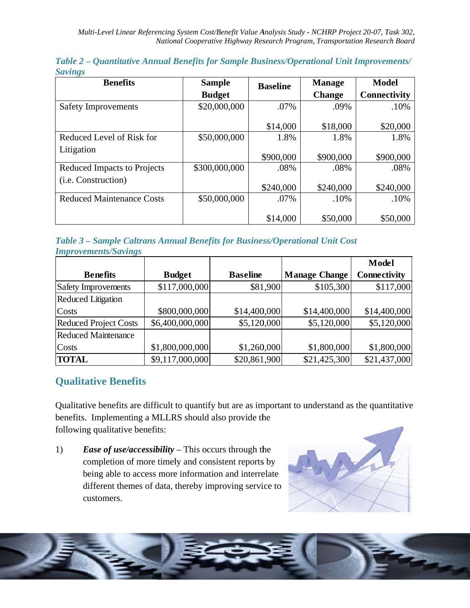| $\sim$ $\mathbf{S}$<br><b>Benefits</b> | <b>Sample</b> | <b>Baseline</b> | <b>Manage</b> | <b>Model</b>        |
|----------------------------------------|---------------|-----------------|---------------|---------------------|
|                                        | <b>Budget</b> |                 | <b>Change</b> | <b>Connectivity</b> |
| <b>Safety Improvements</b>             | \$20,000,000  | .07%            | .09%          | .10%                |
|                                        |               | \$14,000        | \$18,000      | \$20,000            |
|                                        |               |                 |               |                     |
| Reduced Level of Risk for              | \$50,000,000  | 1.8%            | 1.8%          | 1.8%                |
| Litigation                             |               |                 |               |                     |
|                                        |               | \$900,000       | \$900,000     | \$900,000           |
| <b>Reduced Impacts to Projects</b>     | \$300,000,000 | .08%            | .08%          | .08%                |
| ( <i>i.e.</i> Construction)            |               |                 |               |                     |
|                                        |               | \$240,000       | \$240,000     | \$240,000           |
| <b>Reduced Maintenance Costs</b>       | \$50,000,000  | .07%            | .10%          | .10%                |
|                                        |               |                 |               |                     |
|                                        |               | \$14,000        | \$50,000      | \$50,000            |

Table 2 - Quantitative Annual Benefits for Sample Business/Operational Unit Improvements/ **Savings** 

Table 3 - Sample Caltrans Annual Benefits for Business/Operational Unit Cost **Improvements/Savings** 

|                              |                 |                 |                      | <b>Model</b>        |
|------------------------------|-----------------|-----------------|----------------------|---------------------|
| <b>Benefits</b>              | <b>Budget</b>   | <b>Baseline</b> | <b>Manage Change</b> | <b>Connectivity</b> |
| Safety Improvements          | \$117,000,000   | \$81,900        | \$105,300            | \$117,000           |
| <b>Reduced Litigation</b>    |                 |                 |                      |                     |
| Costs                        | \$800,000,000   | \$14,400,000    | \$14,400,000         | \$14,400,000        |
| <b>Reduced Project Costs</b> | \$6,400,000,000 | \$5,120,000     | \$5,120,000          | \$5,120,000         |
| <b>Reduced Maintenance</b>   |                 |                 |                      |                     |
| Costs                        | \$1,800,000,000 | \$1,260,000     | \$1,800,000          | \$1,800,000         |
| <b>TOTAL</b>                 | \$9,117,000,000 | \$20,861,900    | \$21,425,300         | \$21,437,000        |

### **Qualitative Benefits**

Qualitative benefits are difficult to quantify but are as important to understand as the quantitative benefits. Implementing a MLLRS should also provide the following qualitative benefits:

 $1)$ *Ease of use/accessibility* – This occurs through the completion of more timely and consistent reports by being able to access more information and interrelate different themes of data, thereby improving service to customers.



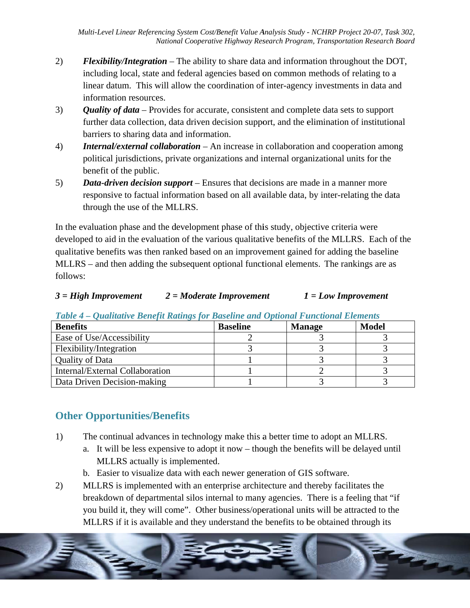- $(2)$ **Flexibility/Integration** – The ability to share data and information throughout the DOT, including local, state and federal agencies based on common methods of relating to a linear datum. This will allow the coordination of inter-agency investments in data and information resources.
- $3)$ **Quality of data** – Provides for accurate, consistent and complete data sets to support further data collection, data driven decision support, and the elimination of institutional barriers to sharing data and information.
- 4) **Internal/external collaboration** – An increase in collaboration and cooperation among political jurisdictions, private organizations and internal organizational units for the benefit of the public.
- $5)$ **Data-driven decision support** – Ensures that decisions are made in a manner more responsive to factual information based on all available data, by inter-relating the data through the use of the MLLRS.

In the evaluation phase and the development phase of this study, objective criteria were developed to aid in the evaluation of the various qualitative benefits of the MLLRS. Each of the qualitative benefits was then ranked based on an improvement gained for adding the baseline MLLRS – and then adding the subsequent optional functional elements. The rankings are as follows:

#### $3 = High\, Important$  $2 = \textit{Modern}$  Improvement  $1 = Low$  Improvement

| <b>Benefits</b>                 | <b>Baseline</b> | <b>Manage</b> | <b>Model</b> |
|---------------------------------|-----------------|---------------|--------------|
| Ease of Use/Accessibility       |                 |               |              |
| Flexibility/Integration         |                 |               |              |
| <b>Quality of Data</b>          |                 |               |              |
| Internal/External Collaboration |                 |               |              |
| Data Driven Decision-making     |                 |               |              |

Table 4 - Qualitative Benefit Ratings for Baseline and Optional Functional Elements

# **Other Opportunities/Benefits**

- $1)$ The continual advances in technology make this a better time to adopt an MLLRS.
	- a. It will be less expensive to adopt it now though the benefits will be delayed until MLLRS actually is implemented.
	- b. Easier to visualize data with each newer generation of GIS software.
- $2)$ MLLRS is implemented with an enterprise architecture and thereby facilitates the breakdown of departmental silos internal to many agencies. There is a feeling that "if you build it, they will come". Other business/operational units will be attracted to the MLLRS if it is available and they understand the benefits to be obtained through its

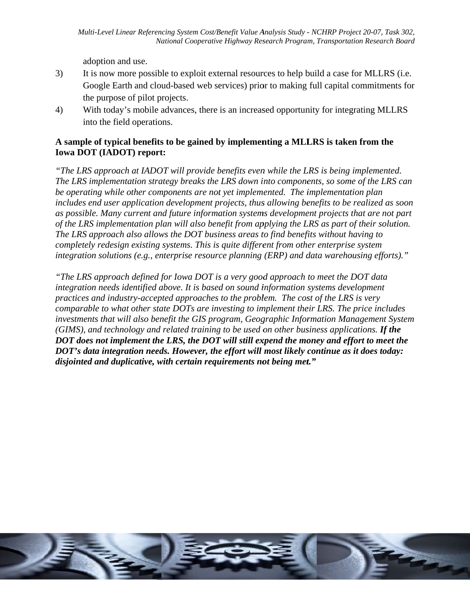adoption and use.

- $3)$ It is now more possible to exploit external resources to help build a case for MLLRS (i.e. Google Earth and cloud-based web services) prior to making full capital commitments for the purpose of pilot projects.
- $4)$ With today's mobile advances, there is an increased opportunity for integrating MLLRS into the field operations.

#### A sample of typical benefits to be gained by implementing a MLLRS is taken from the **Iowa DOT (IADOT) report:**

"The LRS approach at IADOT will provide benefits even while the LRS is being implemented. The LRS implementation strategy breaks the LRS down into components, so some of the LRS can be operating while other components are not yet implemented. The implementation plan includes end user application development projects, thus allowing benefits to be realized as soon as possible. Many current and future information systems development projects that are not part of the LRS implementation plan will also benefit from applying the LRS as part of their solution. The LRS approach also allows the DOT business areas to find benefits without having to completely redesign existing systems. This is quite different from other enterprise system integration solutions (e.g., enterprise resource planning (ERP) and data warehousing efforts)."

"The LRS approach defined for Iowa DOT is a very good approach to meet the DOT data integration needs identified above. It is based on sound information systems development practices and industry-accepted approaches to the problem. The cost of the LRS is very comparable to what other state DOTs are investing to implement their LRS. The price includes investments that will also benefit the GIS program, Geographic Information Management System (GIMS), and technology and related training to be used on other business applications. If the DOT does not implement the LRS, the DOT will still expend the money and effort to meet the DOT's data integration needs. However, the effort will most likely continue as it does today: disjointed and duplicative, with certain requirements not being met."

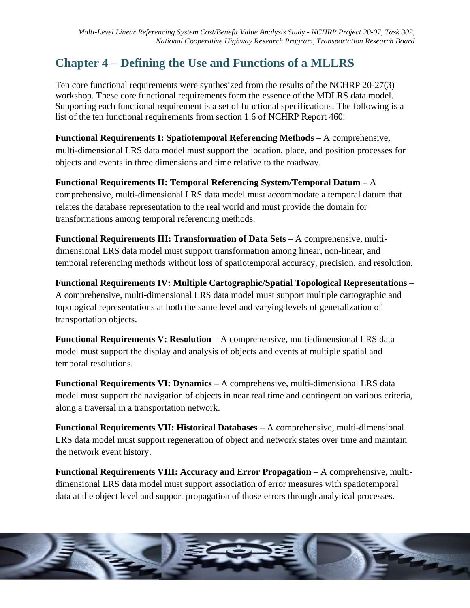# **Chapter 4 – Defining the Use and Functions of a MLLRS**

Ten core functional requirements were synthesized from the results of the NCHRP 20-27(3) workshop. These core functional requirements form the essence of the MDLRS data model. Supporting each functional requirement is a set of functional specifications. The following is a list of the ten functional requirements from section 1.6 of NCHRP Report 460:

**Functional Requirements I: Spatiotemporal Referencing Methods - A comprehensive,** multi-dimensional LRS data model must support the location, place, and position processes for objects and events in three dimensions and time relative to the roadway.

Functional Requirements II: Temporal Referencing System/Temporal Datum – A comprehensive, multi-dimensional LRS data model must accommodate a temporal datum that relates the database representation to the real world and must provide the domain for transformations among temporal referencing methods.

**Functional Requirements III: Transformation of Data Sets** – A comprehensive, multidimensional LRS data model must support transformation among linear, non-linear, and temporal referencing methods without loss of spatiotemporal accuracy, precision, and resolution.

**Functional Requirements IV: Multiple Cartographic/Spatial Topological Representations –** A comprehensive, multi-dimensional LRS data model must support multiple cartographic and topological representations at both the same level and varying levels of generalization of transportation objects.

Functional Requirements V: Resolution - A comprehensive, multi-dimensional LRS data model must support the display and analysis of objects and events at multiple spatial and temporal resolutions.

**Functional Requirements VI: Dynamics** – A comprehensive, multi-dimensional LRS data Functional Requirements VI: Dynamics – A comprehensive, multi-dimensional LRS data<br>model must support the navigation of objects in near real time and contingent on various criteria, along a traversal in a transportation network.

**Functional Requirements VII: Historical Databases - A comprehensive, multi-dimensional** LRS data model must support regeneration of object and network states over time and maintain the network event history.

**Functional Requirements VIII: Accuracy and Error Propagation - A comprehensive, multi**dimensional LRS data model must support association of error measures with spatiotemporal data at the object level and support propagation of those errors through analytical processes.

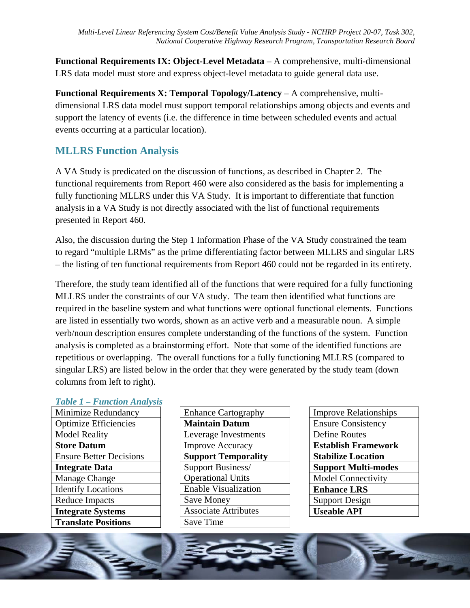Functional Requirements IX: Object-Level Metadata – A comprehensive, multi-dimensional LRS data model must store and express object-level metadata to guide general data use.

**Functional Requirements X: Temporal Topology/Latency – A comprehensive, multi**dimensional LRS data model must support temporal relationships among objects and events and support the latency of events (i.e. the difference in time between scheduled events and actual events occurring at a particular location).

# **MLLRS Function Analysis**

A VA Study is predicated on the discussion of functions, as described in Chapter 2. The functional requirements from Report 460 were also considered as the basis for implementing a fully functioning MLLRS under this VA Study. It is important to differentiate that function analysis in a VA Study is not directly associated with the list of functional requirements presented in Report 460.

Also, the discussion during the Step 1 Information Phase of the VA Study constrained the team to regard "multiple LRMs" as the prime differentiating factor between MLLRS and singular LRS - the listing of ten functional requirements from Report 460 could not be regarded in its entirety.

Therefore, the study team identified all of the functions that were required for a fully functioning MLLRS under the constraints of our VA study. The team then identified what functions are required in the baseline system and what functions were optional functional elements. Functions are listed in essentially two words, shown as an active verb and a measurable noun. A simple verb/noun description ensures complete understanding of the functions of the system. Function analysis is completed as a brainstorming effort. Note that some of the identified functions are repetitious or overlapping. The overall functions for a fully functioning MLLRS (compared to singular LRS) are listed below in the order that they were generated by the study team (down columns from left to right).

#### **Table 1 - Function Analysis**

| Minimize Redundancy            |
|--------------------------------|
| <b>Optimize Efficiencies</b>   |
| <b>Model Reality</b>           |
| <b>Store Datum</b>             |
| <b>Ensure Better Decisions</b> |
| <b>Integrate Data</b>          |
| Manage Change                  |
| <b>Identify Locations</b>      |
| <b>Reduce Impacts</b>          |
| <b>Integrate Systems</b>       |
| <b>Translate Positions</b>     |

| <b>Enhance Cartography</b>  |
|-----------------------------|
| <b>Maintain Datum</b>       |
| Leverage Investments        |
| <b>Improve Accuracy</b>     |
| <b>Support Temporality</b>  |
| Support Business/           |
| <b>Operational Units</b>    |
| <b>Enable Visualization</b> |
| <b>Save Money</b>           |
| <b>Associate Attributes</b> |
| Save Time                   |
|                             |

**Improve Relationships Ensure Consistency** Define Routes **Establish Framework Stabilize Location Support Multi-modes Model Connectivity Enhance LRS Support Design Useable API** 

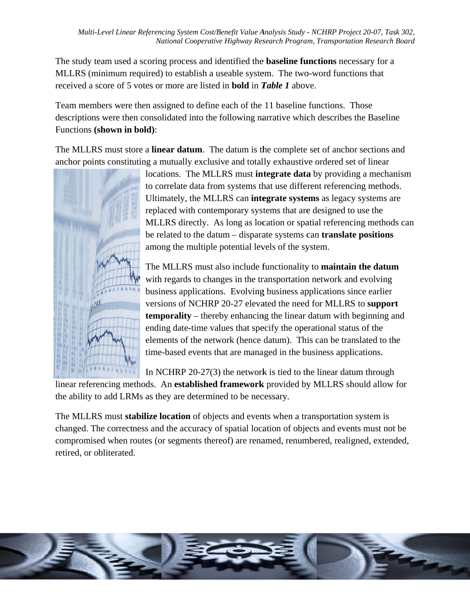The study team used a scoring process and identified the **baseline functions** necessary for a MLLRS (minimum required) to establish a useable system. The two-word functions that received a score of 5 votes or more are listed in **bold** in **Table 1** above.

Team members were then assigned to define each of the 11 baseline functions. Those descriptions were then consolidated into the following narrative which describes the Baseline Functions (shown in bold):

The MLLRS must store a **linear datum**. The datum is the complete set of anchor sections and anchor points constituting a mutually exclusive and totally exhaustive ordered set of linear



locations. The MLLRS must **integrate data** by providing a mechanism to correlate data from systems that use different referencing methods. Ultimately, the MLLRS can integrate systems as legacy systems are replaced with contemporary systems that are designed to use the MLLRS directly. As long as location or spatial referencing methods can be related to the datum – disparate systems can **translate positions** among the multiple potential levels of the system.

The MLLRS must also include functionality to maintain the datum with regards to changes in the transportation network and evolving business applications. Evolving business applications since earlier versions of NCHRP 20-27 elevated the need for MLLRS to support **temporality** – thereby enhancing the linear datum with beginning and ending date-time values that specify the operational status of the elements of the network (hence datum). This can be translated to the time-based events that are managed in the business applications.

In NCHRP  $20-27(3)$  the network is tied to the linear datum through linear referencing methods. An **established framework** provided by MLLRS should allow for the ability to add LRMs as they are determined to be necessary.

The MLLRS must stabilize location of objects and events when a transportation system is changed. The correctness and the accuracy of spatial location of objects and events must not be compromised when routes (or segments thereof) are renamed, renumbered, realigned, extended, retired, or obliterated.

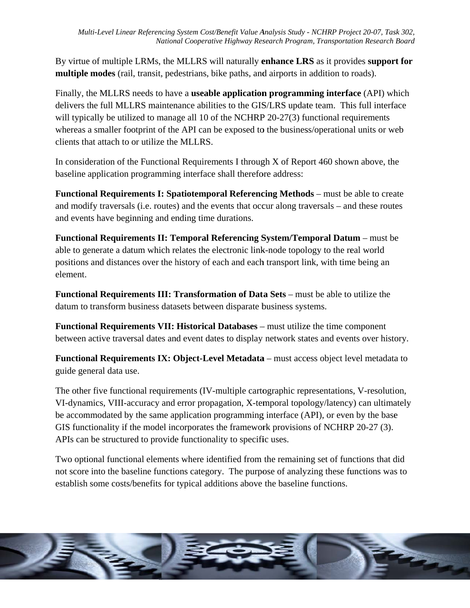By virtue of multiple LRMs, the MLLRS will naturally enhance LRS as it provides support for multiple modes (rail, transit, pedestrians, bike paths, and airports in addition to roads).

Finally, the MLLRS needs to have a **useable application programming interface** (API) which delivers the full MLLRS maintenance abilities to the GIS/LRS update team. This full interface will typically be utilized to manage all 10 of the NCHRP 20-27(3) functional requirements whereas a smaller footprint of the API can be exposed to the business/operational units or web clients that attach to or utilize the MLLRS.

In consideration of the Functional Requirements I through X of Report 460 shown above, the baseline application programming interface shall therefore address:

Functional Requirements I: Spatiotemporal Referencing Methods – must be able to create and modify traversals (i.e. routes) and the events that occur along traversals – and these routes and events have beginning and ending time durations.

Functional Requirements II: Temporal Referencing System/Temporal Datum – must be able to generate a datum which relates the electronic link-node topology to the real world positions and distances over the history of each and each transport link, with time being an element.

Functional Requirements III: Transformation of Data Sets – must be able to utilize the datum to transform business datasets between disparate business systems.

**Functional Requirements VII: Historical Databases – must utilize the time component** between active traversal dates and event dates to display network states and events over history.

Functional Requirements IX: Object-Level Metadata – must access object level metadata to guide general data use.

The other five functional requirements (IV-multiple cartographic representations, V-resolution, VI-dynamics, VIII-accuracy and error propagation, X-temporal topology/latency) can ultimately be accommodated by the same application programming interface (API), or even by the base GIS functionality if the model incorporates the framework provisions of NCHRP 20-27 (3). APIs can be structured to provide functionality to specific uses.

Two optional functional elements where identified from the remaining set of functions that did not score into the baseline functions category. The purpose of analyzing these functions was to establish some costs/benefits for typical additions above the baseline functions.

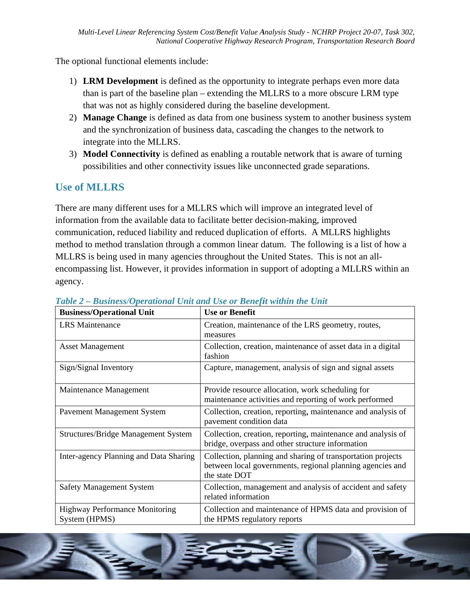The optional functional elements include:

- 1) **LRM Development** is defined as the opportunity to integrate perhaps even more data than is part of the baseline plan – extending the MLLRS to a more obscure LRM type that was not as highly considered during the baseline development.
- 2) Manage Change is defined as data from one business system to another business system and the synchronization of business data, cascading the changes to the network to integrate into the MLLRS.
- 3) Model Connectivity is defined as enabling a routable network that is aware of turning possibilities and other connectivity issues like unconnected grade separations.

### **Use of MLLRS**

There are many different uses for a MLLRS which will improve an integrated level of information from the available data to facilitate better decision-making, improved communication, reduced liability and reduced duplication of efforts. A MLLRS highlights method to method translation through a common linear datum. The following is a list of how a MLLRS is being used in many agencies throughout the United States. This is not an allencompassing list. However, it provides information in support of adopting a MLLRS within an agency.

| <b>Business/Operational Unit</b>                       | <b>Use or Benefit</b>                                                                                                                     |
|--------------------------------------------------------|-------------------------------------------------------------------------------------------------------------------------------------------|
| <b>LRS</b> Maintenance                                 | Creation, maintenance of the LRS geometry, routes,<br>measures                                                                            |
| <b>Asset Management</b>                                | Collection, creation, maintenance of asset data in a digital<br>fashion                                                                   |
| Sign/Signal Inventory                                  | Capture, management, analysis of sign and signal assets                                                                                   |
| Maintenance Management                                 | Provide resource allocation, work scheduling for<br>maintenance activities and reporting of work performed                                |
| Pavement Management System                             | Collection, creation, reporting, maintenance and analysis of<br>pavement condition data                                                   |
| <b>Structures/Bridge Management System</b>             | Collection, creation, reporting, maintenance and analysis of<br>bridge, overpass and other structure information                          |
| Inter-agency Planning and Data Sharing                 | Collection, planning and sharing of transportation projects<br>between local governments, regional planning agencies and<br>the state DOT |
| <b>Safety Management System</b>                        | Collection, management and analysis of accident and safety<br>related information                                                         |
| <b>Highway Performance Monitoring</b><br>System (HPMS) | Collection and maintenance of HPMS data and provision of<br>the HPMS regulatory reports                                                   |

#### Table 2 - Business/Operational Unit and Use or Benefit within the Unit

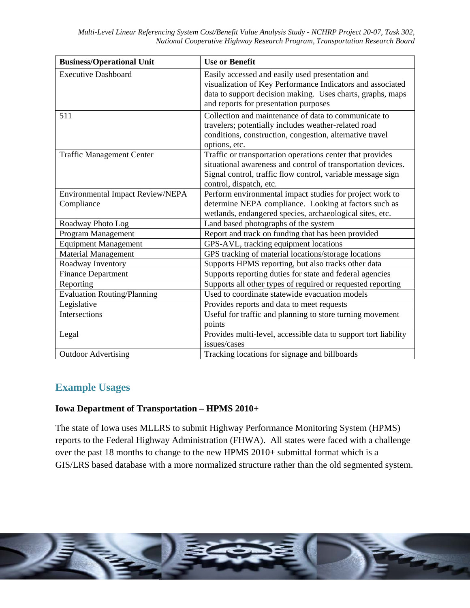| <b>Business/Operational Unit</b>                      | <b>Use or Benefit</b>                                                                                                                                                                                                 |
|-------------------------------------------------------|-----------------------------------------------------------------------------------------------------------------------------------------------------------------------------------------------------------------------|
| <b>Executive Dashboard</b>                            | Easily accessed and easily used presentation and<br>visualization of Key Performance Indicators and associated<br>data to support decision making. Uses charts, graphs, maps<br>and reports for presentation purposes |
| 511                                                   | Collection and maintenance of data to communicate to<br>travelers; potentially includes weather-related road<br>conditions, construction, congestion, alternative travel<br>options, etc.                             |
| <b>Traffic Management Center</b>                      | Traffic or transportation operations center that provides<br>situational awareness and control of transportation devices.<br>Signal control, traffic flow control, variable message sign<br>control, dispatch, etc.   |
| <b>Environmental Impact Review/NEPA</b><br>Compliance | Perform environmental impact studies for project work to<br>determine NEPA compliance. Looking at factors such as<br>wetlands, endangered species, archaeological sites, etc.                                         |
| Roadway Photo Log                                     | Land based photographs of the system                                                                                                                                                                                  |
| Program Management                                    | Report and track on funding that has been provided                                                                                                                                                                    |
| <b>Equipment Management</b>                           | GPS-AVL, tracking equipment locations                                                                                                                                                                                 |
| <b>Material Management</b>                            | GPS tracking of material locations/storage locations                                                                                                                                                                  |
| Roadway Inventory                                     | Supports HPMS reporting, but also tracks other data                                                                                                                                                                   |
| <b>Finance Department</b>                             | Supports reporting duties for state and federal agencies                                                                                                                                                              |
| Reporting                                             | Supports all other types of required or requested reporting                                                                                                                                                           |
| <b>Evaluation Routing/Planning</b>                    | Used to coordinate statewide evacuation models                                                                                                                                                                        |
| Legislative                                           | Provides reports and data to meet requests                                                                                                                                                                            |
| Intersections                                         | Useful for traffic and planning to store turning movement<br>points                                                                                                                                                   |
| Legal                                                 | Provides multi-level, accessible data to support tort liability<br>issues/cases                                                                                                                                       |
| <b>Outdoor Advertising</b>                            | Tracking locations for signage and billboards                                                                                                                                                                         |

### **Example Usages**

#### **Iowa Department of Transportation - HPMS 2010+**

The state of Iowa uses MLLRS to submit Highway Performance Monitoring System (HPMS) reports to the Federal Highway Administration (FHWA). All states were faced with a challenge over the past 18 months to change to the new HPMS 2010+ submittal format which is a GIS/LRS based database with a more normalized structure rather than the old segmented system.

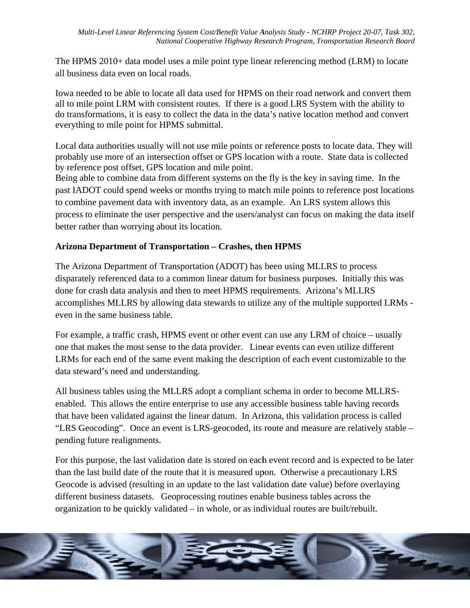The HPMS 2010+ data model uses a mile point type linear referencing method (LRM) to locate all business data even on local roads.

Iowa needed to be able to locate all data used for HPMS on their road network and convert them all to mile point LRM with consistent routes. If there is a good LRS System with the ability to do transformations, it is easy to collect the data in the data's native location method and convert everything to mile point for HPMS submittal.

Local data authorities usually will not use mile points or reference posts to locate data. They will probably use more of an intersection offset or GPS location with a route. State data is collected by reference post offset, GPS location and mile point.

Being able to combine data from different systems on the fly is the key in saving time. In the past IADOT could spend weeks or months trying to match mile points to reference post locations to combine pavement data with inventory data, as an example. An LRS system allows this process to eliminate the user perspective and the users/analyst can focus on making the data itself better rather than worrying about its location.

#### Arizona Department of Transportation – Crashes, then HPMS

The Arizona Department of Transportation (ADOT) has been using MLLRS to process disparately referenced data to a common linear datum for business purposes. Initially this was done for crash data analysis and then to meet HPMS requirements. Arizona's MLLRS accomplishes MLLRS by allowing data stewards to utilize any of the multiple supported LRMs even in the same business table.

For example, a traffic crash, HPMS event or other event can use any LRM of choice – usually one that makes the most sense to the data provider. Linear events can even utilize different LRMs for each end of the same event making the description of each event customizable to the data steward's need and understanding.

All business tables using the MLLRS adopt a compliant schema in order to become MLLRSenabled. This allows the entire enterprise to use any accessible business table having records that have been validated against the linear datum. In Arizona, this validation process is called "LRS Geocoding". Once an event is LRS-geocoded, its route and measure are relatively stable – pending future realignments.

For this purpose, the last validation date is stored on each event record and is expected to be later than the last build date of the route that it is measured upon. Otherwise a precautionary LRS Geocode is advised (resulting in an update to the last validation date value) before overlaying different business datasets. Geoprocessing routines enable business tables across the organization to be quickly validated – in whole, or as individual routes are built/rebuilt.

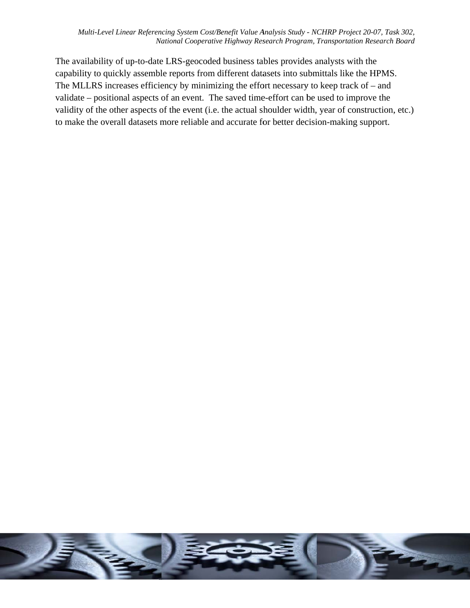The availability of up-to-date LRS-geocoded business tables provides analysts with the capability to quickly assemble reports from different datasets into submittals like the HPMS. The MLLRS increases efficiency by minimizing the effort necessary to keep track of  $-$  and validate – positional aspects of an event. The saved time-effort can be used to improve the validity of the other aspects of the event (i.e. the actual shoulder width, year of construction, etc.) to make the overall datasets more reliable and accurate for better decision-making support.

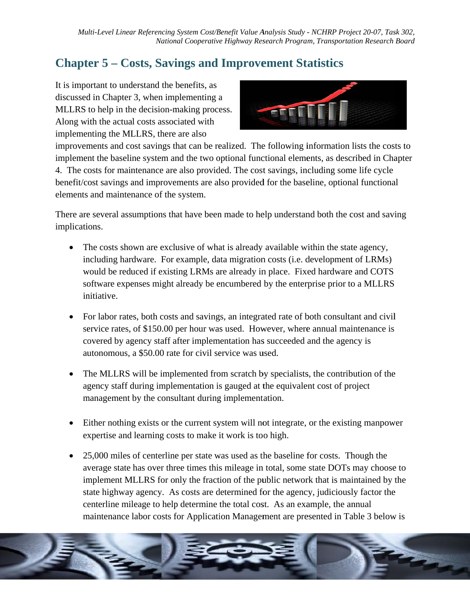# **Chapter 5 – Costs, Savings and Improvement Statistics**

It is important to understand the benefits, as discussed in Chapter 3, when implementing a MLLRS to help in the decision-making process. Along with the actual costs associated with implementing the MLLRS, there are also



improvements and cost savings that can be realized. The following information lists the costs to implement the baseline system and the two optional functional elements, as described in Chapter 4. The costs for maintenance are also provided. The cost savings, including some life cycle benefit/cost savings and improvements are also provided for the baseline, optional functional elements and maintenance of the system.

There are several assumptions that have been made to help understand both the cost and saving implications.

- The costs shown are exclusive of what is already available within the state agency, including hardware. For example, data migration costs (i.e. development of LRMs) would be reduced if existing LRMs are already in place. Fixed hardware and COTS software expenses might already be encumbered by the enterprise prior to a MLLRS initiative.
- For labor rates, both costs and savings, an integrated rate of both consultant and civil service rates, of \$150.00 per hour was used. However, where annual maintenance is covered by agency staff after implementation has succeeded and the agency is autonomous, a \$50,00 rate for civil service was used.
- The MLLRS will be implemented from scratch by specialists, the contribution of the agency staff during implementation is gauged at the equivalent cost of project management by the consultant during implementation.
- Either nothing exists or the current system will not integrate, or the existing manpower expertise and learning costs to make it work is too high.
- 25,000 miles of centerline per state was used as the baseline for costs. Though the average state has over three times this mileage in total, some state DOTs may choose to implement MLLRS for only the fraction of the public network that is maintained by the state highway agency. As costs are determined for the agency, judiciously factor the centerline mileage to help determine the total cost. As an example, the annual maintenance labor costs for Application Management are presented in Table 3 below is

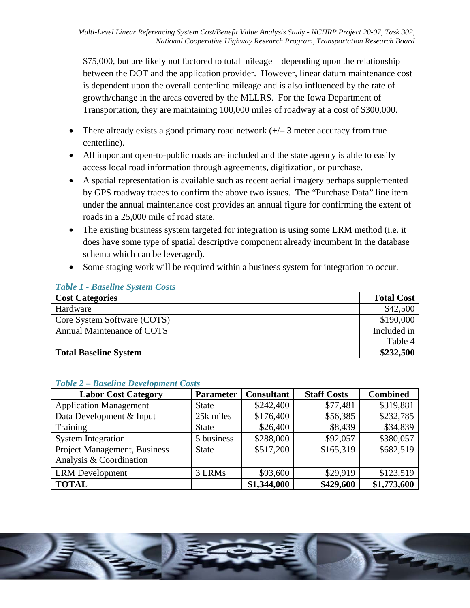\$75,000, but are likely not factored to total mileage – depending upon the relationship between the DOT and the application provider. However, linear datum maintenance cost is dependent upon the overall centerline mileage and is also influenced by the rate of growth/change in the areas covered by the MLLRS. For the Iowa Department of Transportation, they are maintaining 100,000 miles of roadway at a cost of \$300,000.

- There already exists a good primary road network  $(+/- 3$  meter accuracy from true centerline).
- All important open-to-public roads are included and the state agency is able to easily access local road information through agreements, digitization, or purchase.
- A spatial representation is available such as recent aerial imagery perhaps supplemented by GPS roadway traces to confirm the above two issues. The "Purchase Data" line item under the annual maintenance cost provides an annual figure for confirming the extent of roads in a 25,000 mile of road state.
- The existing business system targeted for integration is using some LRM method (i.e. it does have some type of spatial descriptive component already incumbent in the database schema which can be leveraged).
- Some staging work will be required within a business system for integration to occur.

| <b>Cost Categories</b>       | <b>Total Cost</b> |
|------------------------------|-------------------|
| Hardware                     | \$42,500          |
| Core System Software (COTS)  | \$190,000         |
| Annual Maintenance of COTS   | Included in       |
|                              | Table 4           |
| <b>Total Baseline System</b> | \$232,500         |

#### **Table 1 - Baseline System Costs**

| <b>Labor Cost Category</b>                              | <b>Parameter</b> | <b>Consultant</b> | <b>Staff Costs</b> | <b>Combined</b> |
|---------------------------------------------------------|------------------|-------------------|--------------------|-----------------|
| <b>Application Management</b>                           | <b>State</b>     | \$242,400         | \$77,481           | \$319,881       |
| Data Development & Input                                | 25k miles        | \$176,400         | \$56,385           | \$232,785       |
| Training                                                | <b>State</b>     | \$26,400          | \$8,439            | \$34,839        |
| <b>System Integration</b>                               | 5 business       | \$288,000         | \$92,057           | \$380,057       |
| Project Management, Business<br>Analysis & Coordination | <b>State</b>     | \$517,200         | \$165,319          | \$682,519       |
| <b>LRM</b> Development                                  | 3 LRMs           | \$93,600          | \$29,919           | \$123,519       |
| <b>TOTAL</b>                                            |                  | \$1,344,000       | \$429,600          | \$1,773,600     |

#### Table 2 Rasoling Dovelopment Costs

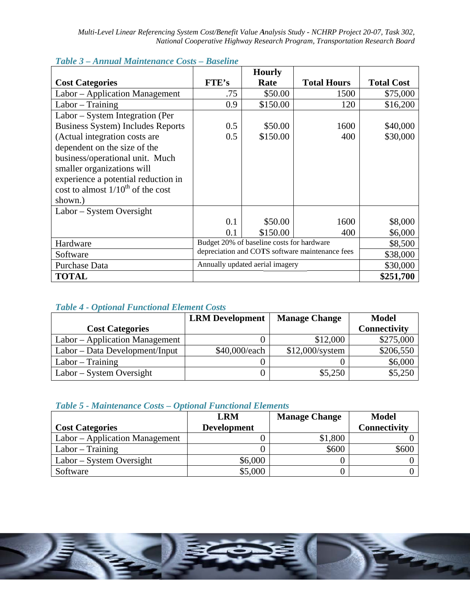|                                          |                                                 | <b>Hourly</b> |                    |                   |
|------------------------------------------|-------------------------------------------------|---------------|--------------------|-------------------|
| <b>Cost Categories</b>                   | <b>FTE's</b>                                    | Rate          | <b>Total Hours</b> | <b>Total Cost</b> |
| Labor - Application Management           | .75                                             | \$50.00       | 1500               | \$75,000          |
| $Labor - Training$                       | 0.9                                             | \$150.00      | 120                | \$16,200          |
| Labor – System Integration (Per          |                                                 |               |                    |                   |
| <b>Business System) Includes Reports</b> | 0.5                                             | \$50.00       | 1600               | \$40,000          |
| (Actual integration costs are            | 0.5                                             | \$150.00      | 400                | \$30,000          |
| dependent on the size of the             |                                                 |               |                    |                   |
| business/operational unit. Much          |                                                 |               |                    |                   |
| smaller organizations will               |                                                 |               |                    |                   |
| experience a potential reduction in      |                                                 |               |                    |                   |
| cost to almost $1/10^{th}$ of the cost   |                                                 |               |                    |                   |
| shown.)                                  |                                                 |               |                    |                   |
| Labor – System Oversight                 |                                                 |               |                    |                   |
|                                          | 0.1                                             | \$50.00       | 1600               | \$8,000           |
|                                          | 0.1                                             | \$150.00      | 400                | \$6,000           |
| Hardware                                 | Budget 20% of baseline costs for hardware       |               |                    | \$8,500           |
| Software                                 | depreciation and COTS software maintenance fees |               |                    | \$38,000          |
| Purchase Data                            | Annually updated aerial imagery                 |               |                    | \$30,000          |
| <b>TOTAL</b>                             |                                                 |               |                    | \$251,700         |

#### Table 3 - Annual Maintenance Costs - Baseline

#### **Table 4 - Optional Functional Element Costs**

|                                | <b>LRM</b> Development | <b>Manage Change</b> | <b>Model</b> |
|--------------------------------|------------------------|----------------------|--------------|
| <b>Cost Categories</b>         |                        |                      | Connectivity |
| Labor – Application Management |                        | \$12,000             | \$275,000    |
| Labor – Data Development/Input | \$40,000/each          | $$12,000$ /system    | \$206,550    |
| $Labor - Training$             |                        |                      | \$6,000      |
| $Labor - System Over sight$    |                        | \$5,250              | \$5,250      |

#### Table 5 - Maintenance Costs - Optional Functional Elements

|                                | <b>LRM</b>         | <b>Manage Change</b> | <b>Model</b> |
|--------------------------------|--------------------|----------------------|--------------|
| <b>Cost Categories</b>         | <b>Development</b> |                      | Connectivity |
| Labor – Application Management |                    | \$1,800              |              |
| $Labor - Training$             |                    | \$600                | \$600        |
| Labor – System Oversight       | \$6,000            |                      |              |
| Software                       | \$5,000            |                      |              |

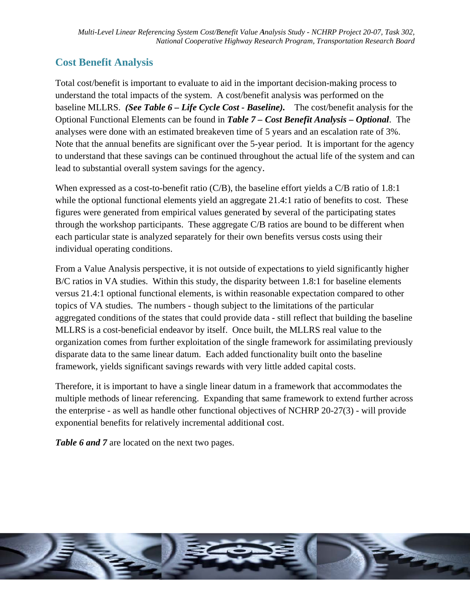# **Cost Benefit Analysis**

Total cost/benefit is important to evaluate to aid in the important decision-making process to understand the total impacts of the system. A cost/benefit analysis was performed on the baseline MLLRS. (See Table 6 – Life Cycle Cost - Baseline). The cost/benefit analysis for the Optional Functional Elements can be found in Table 7 – Cost Benefit Analysis – Optional. The analyses were done with an estimated breakeven time of 5 years and an escalation rate of 3%. Note that the annual benefits are significant over the 5-year period. It is important for the agency to understand that these savings can be continued throughout the actual life of the system and can lead to substantial overall system savings for the agency.

When expressed as a cost-to-benefit ratio ( $C/B$ ), the baseline effort yields a  $C/B$  ratio of 1.8:1 while the optional functional elements yield an aggregate 21.4:1 ratio of benefits to cost. These figures were generated from empirical values generated by several of the participating states through the workshop participants. These aggregate C/B ratios are bound to be different when each particular state is analyzed separately for their own benefits versus costs using their individual operating conditions.

From a Value Analysis perspective, it is not outside of expectations to yield significantly higher B/C ratios in VA studies. Within this study, the disparity between 1.8:1 for baseline elements versus 21.4:1 optional functional elements, is within reasonable expectation compared to other topics of VA studies. The numbers - though subject to the limitations of the particular aggregated conditions of the states that could provide data - still reflect that building the baseline MLLRS is a cost-beneficial endeavor by itself. Once built, the MLLRS real value to the organization comes from further exploitation of the single framework for assimilating previously disparate data to the same linear datum. Each added functionality built onto the baseline framework, yields significant savings rewards with very little added capital costs.

Therefore, it is important to have a single linear datum in a framework that accommodates the multiple methods of linear referencing. Expanding that same framework to extend further across the enterprise - as well as handle other functional objectives of NCHRP 20-27(3) - will provide exponential benefits for relatively incremental additional cost.

Table 6 and 7 are located on the next two pages.

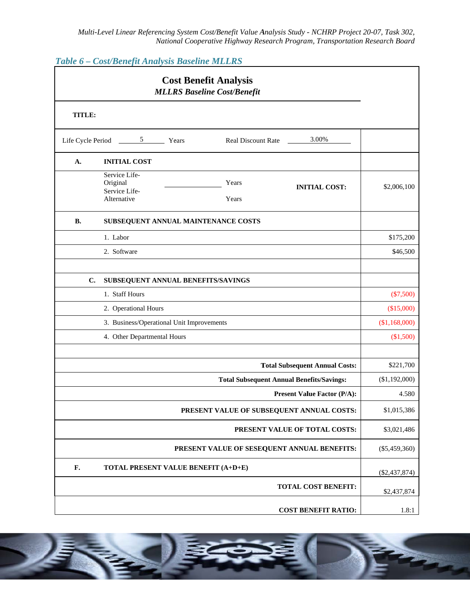Table 6 - Cost/Benefit Analysis Baseline MLLRS

|        | <b>Cost Benefit Analysis</b><br><b>MLLRS Baseline Cost/Benefit</b>                                  |                 |
|--------|-----------------------------------------------------------------------------------------------------|-----------------|
| TITLE: |                                                                                                     |                 |
|        | 3.00%<br>Life Cycle Period 5 Years<br>Real Discount Rate                                            |                 |
| А.     | <b>INITIAL COST</b>                                                                                 |                 |
|        | Service Life-<br>Original<br>Years<br><b>INITIAL COST:</b><br>Service Life-<br>Alternative<br>Years | \$2,006,100     |
| В.     | SUBSEQUENT ANNUAL MAINTENANCE COSTS                                                                 |                 |
|        | 1. Labor                                                                                            | \$175,200       |
|        | 2. Software                                                                                         | \$46,500        |
| C.     | SUBSEQUENT ANNUAL BENEFITS/SAVINGS                                                                  |                 |
|        | 1. Staff Hours                                                                                      | $(\$7,500)$     |
|        | 2. Operational Hours                                                                                | (\$15,000)      |
|        | 3. Business/Operational Unit Improvements                                                           | (\$1,168,000)   |
|        | 4. Other Departmental Hours                                                                         | (\$1,500)       |
|        | <b>Total Subsequent Annual Costs:</b>                                                               | \$221,700       |
|        | <b>Total Subsequent Annual Benefits/Savings:</b>                                                    | (\$1,192,000)   |
|        | <b>Present Value Factor (P/A):</b>                                                                  | 4.580           |
|        | PRESENT VALUE OF SUBSEQUENT ANNUAL COSTS:                                                           | \$1,015,386     |
|        | PRESENT VALUE OF TOTAL COSTS:                                                                       | \$3,021,486     |
|        | PRESENT VALUE OF SESEQUENT ANNUAL BENEFITS:                                                         | $(\$5,459,360)$ |
| F.     | TOTAL PRESENT VALUE BENEFIT (A+D+E)                                                                 | $(\$2,437,874)$ |
|        | <b>TOTAL COST BENEFIT:</b>                                                                          | \$2,437,874     |
|        | <b>COST BENEFIT RATIO:</b>                                                                          | 1.8:1           |

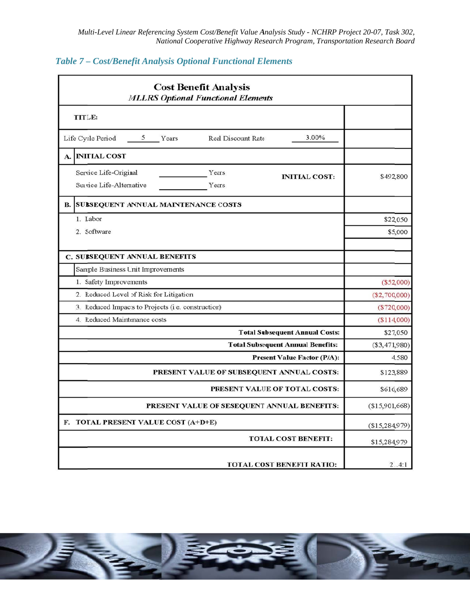| <b>Cost Benefit Analysis</b><br><b>MLLRS Optional Functional Elements</b>                   |                 |  |
|---------------------------------------------------------------------------------------------|-----------------|--|
| TITLE:                                                                                      |                 |  |
| 3.00%<br>$5\overline{)}$<br>Life Cycle Period<br>Years<br><b>Real Discount Rate</b>         |                 |  |
| A. INITIAL COST                                                                             |                 |  |
| Service Life-Original<br>Years<br><b>INITIAL COST:</b><br>Service Life-Alternative<br>Years | \$492,800       |  |
| <b>SUBSEQUENT ANNUAL MAINTENANCE COSTS</b><br>В.                                            |                 |  |
| 1. Labor                                                                                    | \$22,050        |  |
| 2. Software                                                                                 | \$5,000         |  |
|                                                                                             |                 |  |
| <b>C. SUBSEQUENT ANNUAL BENEFITS</b>                                                        |                 |  |
| Sample Business Unit Improvements                                                           |                 |  |
| 1. Safety Improvements                                                                      | $(\$52,000)$    |  |
| 2. Reduced Level of Risk for Litigation                                                     | $(\$2,700,000)$ |  |
| 3. Reduced Impacts to Projects (i.e. construction)                                          | $(\$720,000)$   |  |
| 4. Reduced Maintenance costs                                                                | (\$114,000)     |  |
| <b>Total Subsequent Annual Costs:</b>                                                       | \$27,050        |  |
| <b>Total Subsequent Annual Benefits:</b>                                                    | $(\$3,471,980)$ |  |
| <b>Present Value Factor (P/A):</b>                                                          | 4.580           |  |
| PRESENT VALUE OF SUBSEQUENT ANNUAL COSTS:                                                   | \$123,889       |  |
| PRESENT VALUE OF TOTAL COSTS:                                                               | \$616,689       |  |
| PRESENT VALUE OF SESEQUENT ANNUAL BENEFITS:                                                 | (\$15,901,668)  |  |
| F. TOTAL PRESENT VALUE COST (A+D+E)                                                         | (\$15,284,979)  |  |
| <b>TOTAL COST BENEFIT:</b>                                                                  | \$15,284,979    |  |
| <b>TOTAL COST BENEFIT RATIO:</b>                                                            | 21.4:1          |  |

#### Table 7 - Cost/Benefit Analysis Optional Functional Elements

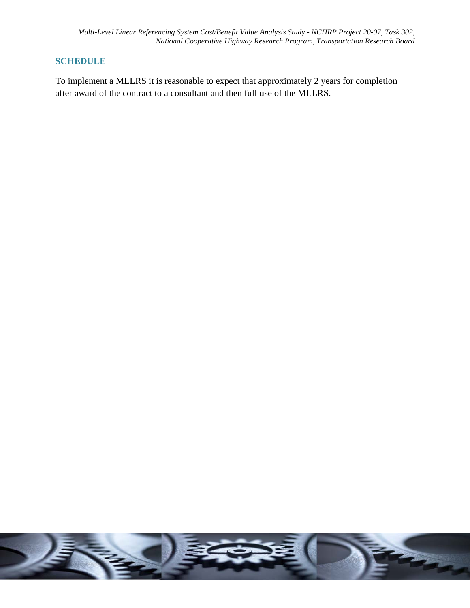#### **SCHEDULE**

To implement a MLLRS it is reasonable to expect that approximately 2 years for completion after award of the contract to a consultant and then full use of the MLLRS.

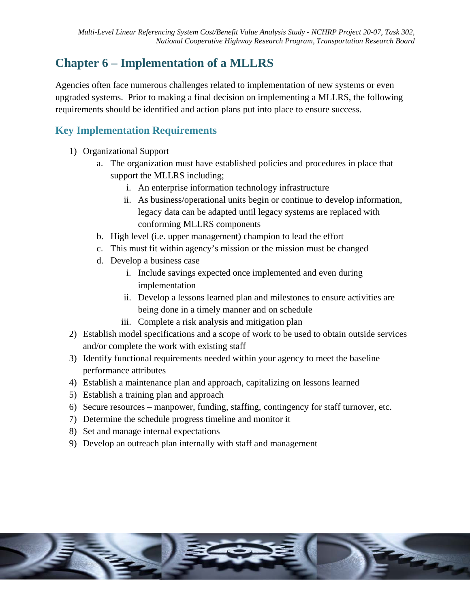# **Chapter 6 – Implementation of a MLLRS**

Agencies often face numerous challenges related to implementation of new systems or even upgraded systems. Prior to making a final decision on implementing a MLLRS, the following requirements should be identified and action plans put into place to ensure success.

# **Key Implementation Requirements**

- 1) Organizational Support
	- a. The organization must have established policies and procedures in place that support the MLLRS including;
		- i. An enterprise information technology infrastructure
		- ii. As business/operational units begin or continue to develop information, legacy data can be adapted until legacy systems are replaced with conforming MLLRS components
	- b. High level (i.e. upper management) champion to lead the effort
	- c. This must fit within agency's mission or the mission must be changed
	- d. Develop a business case
		- i. Include savings expected once implemented and even during implementation
		- ii. Develop a lessons learned plan and milestones to ensure activities are being done in a timely manner and on schedule
		- iii. Complete a risk analysis and mitigation plan
- 2) Establish model specifications and a scope of work to be used to obtain outside services and/or complete the work with existing staff
- 3) Identify functional requirements needed within your agency to meet the baseline performance attributes
- 4) Establish a maintenance plan and approach, capitalizing on lessons learned
- 5) Establish a training plan and approach
- 6) Secure resources manpower, funding, staffing, contingency for staff turnover, etc.
- 7) Determine the schedule progress timeline and monitor it
- 8) Set and manage internal expectations
- 9) Develop an outreach plan internally with staff and management

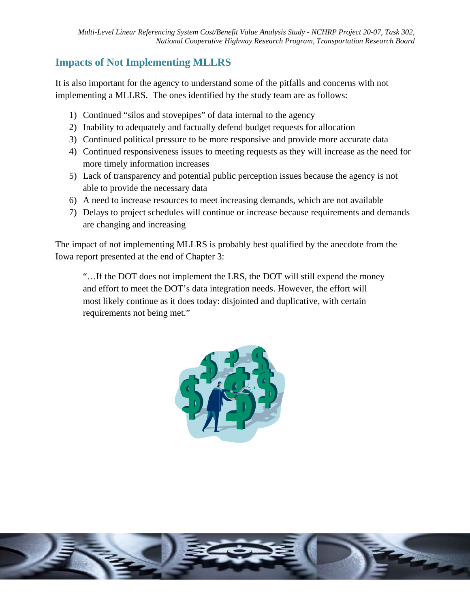### **Impacts of Not Implementing MLLRS**

It is also important for the agency to understand some of the pitfalls and concerns with not implementing a MLLRS. The ones identified by the study team are as follows:

- 1) Continued "silos and stovepipes" of data internal to the agency
- 2) Inability to adequately and factually defend budget requests for allocation
- 3) Continued political pressure to be more responsive and provide more accurate data
- 4) Continued responsiveness issues to meeting requests as they will increase as the need for more timely information increases
- 5) Lack of transparency and potential public perception issues because the agency is not able to provide the necessary data
- 6) A need to increase resources to meet increasing demands, which are not available
- 7) Delays to project schedules will continue or increase because requirements and demands are changing and increasing

The impact of not implementing MLLRS is probably best qualified by the anecdote from the Iowa report presented at the end of Chapter 3:

"...If the DOT does not implement the LRS, the DOT will still expend the money and effort to meet the DOT's data integration needs. However, the effort will most likely continue as it does today: disjointed and duplicative, with certain requirements not being met."



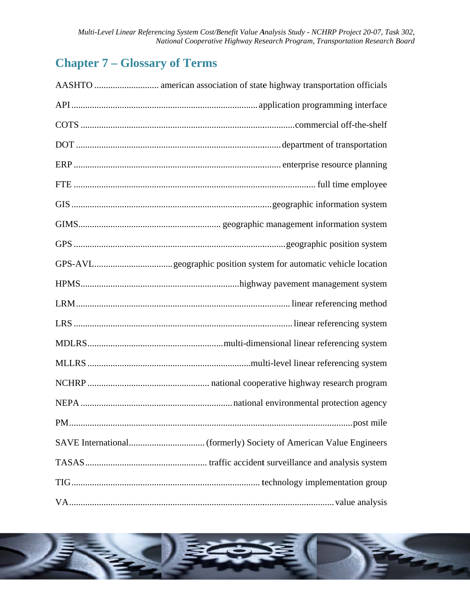# **Chapter 7 - Glossary of Terms**